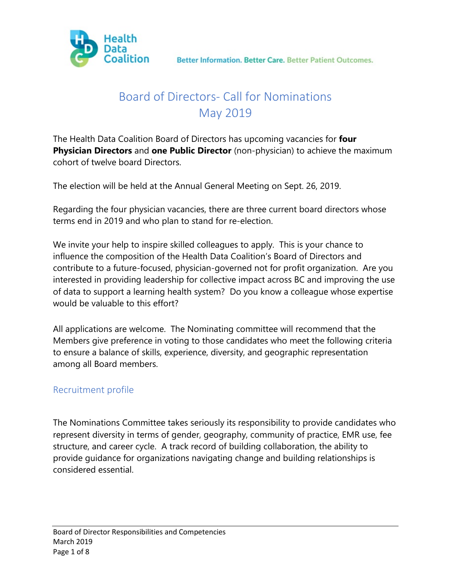

# Board of Directors- Call for Nominations May 2019

The Health Data Coalition Board of Directors has upcoming vacancies for **four Physician Directors** and **one Public Director** (non-physician) to achieve the maximum cohort of twelve board Directors.

The election will be held at the Annual General Meeting on Sept. 26, 2019.

Regarding the four physician vacancies, there are three current board directors whose terms end in 2019 and who plan to stand for re-election.

We invite your help to inspire skilled colleagues to apply. This is your chance to influence the composition of the Health Data Coalition's Board of Directors and contribute to a future-focused, physician-governed not for profit organization. Are you interested in providing leadership for collective impact across BC and improving the use of data to support a learning health system? Do you know a colleague whose expertise would be valuable to this effort?

All applications are welcome. The Nominating committee will recommend that the Members give preference in voting to those candidates who meet the following criteria to ensure a balance of skills, experience, diversity, and geographic representation among all Board members.

## Recruitment profile

The Nominations Committee takes seriously its responsibility to provide candidates who represent diversity in terms of gender, geography, community of practice, EMR use, fee structure, and career cycle. A track record of building collaboration, the ability to provide guidance for organizations navigating change and building relationships is considered essential.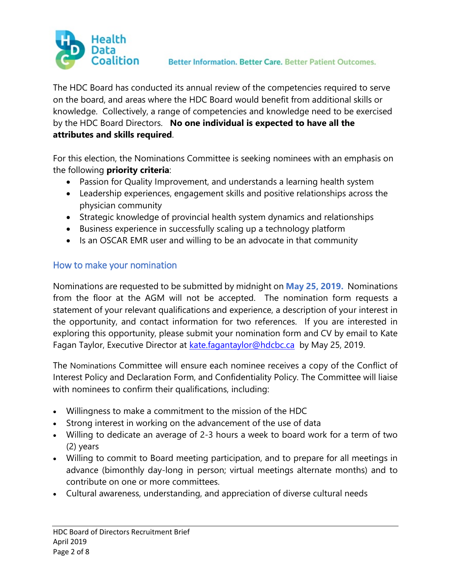

The HDC Board has conducted its annual review of the competencies required to serve on the board, and areas where the HDC Board would benefit from additional skills or knowledge. Collectively, a range of competencies and knowledge need to be exercised by the HDC Board Directors. **No one individual is expected to have all the attributes and skills required**.

For this election, the Nominations Committee is seeking nominees with an emphasis on the following **priority criteria**:

- Passion for Quality Improvement, and understands a learning health system
- Leadership experiences, engagement skills and positive relationships across the physician community
- Strategic knowledge of provincial health system dynamics and relationships
- Business experience in successfully scaling up a technology platform
- Is an OSCAR EMR user and willing to be an advocate in that community

## How to make your nomination

Nominations are requested to be submitted by midnight on **May 25, 2019.** Nominations from the floor at the AGM will not be accepted. The nomination form requests a statement of your relevant qualifications and experience, a description of your interest in the opportunity, and contact information for two references. If you are interested in exploring this opportunity, please submit your nomination form and CV by email to Kate Fagan Taylor, Executive Director at [kate.fagantaylor@hdcbc.ca](mailto:kate.fagantaylor@hdcbc.ca) by May 25, 2019.

The Nominations Committee will ensure each nominee receives a copy of the Conflict of Interest Policy and Declaration Form, and Confidentiality Policy. The Committee will liaise with nominees to confirm their qualifications, including:

- Willingness to make a commitment to the mission of the HDC
- Strong interest in working on the advancement of the use of data
- Willing to dedicate an average of 2-3 hours a week to board work for a term of two (2) years
- Willing to commit to Board meeting participation, and to prepare for all meetings in advance (bimonthly day-long in person; virtual meetings alternate months) and to contribute on one or more committees.
- Cultural awareness, understanding, and appreciation of diverse cultural needs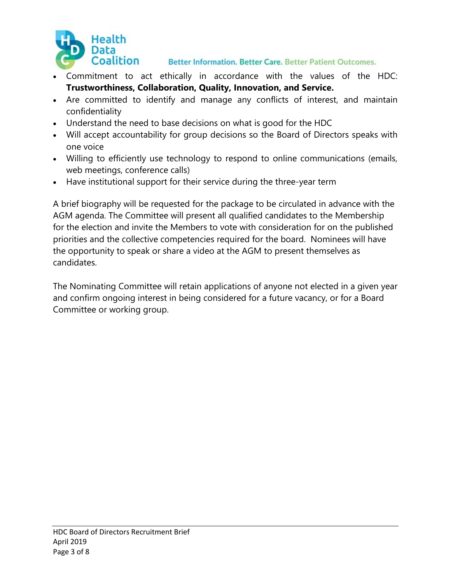

- Commitment to act ethically in accordance with the values of the HDC: **Trustworthiness, Collaboration, Quality, Innovation, and Service.**
- Are committed to identify and manage any conflicts of interest, and maintain confidentiality
- Understand the need to base decisions on what is good for the HDC
- Will accept accountability for group decisions so the Board of Directors speaks with one voice
- Willing to efficiently use technology to respond to online communications (emails, web meetings, conference calls)
- Have institutional support for their service during the three-year term

A brief biography will be requested for the package to be circulated in advance with the AGM agenda. The Committee will present all qualified candidates to the Membership for the election and invite the Members to vote with consideration for on the published priorities and the collective competencies required for the board. Nominees will have the opportunity to speak or share a video at the AGM to present themselves as candidates.

The Nominating Committee will retain applications of anyone not elected in a given year and confirm ongoing interest in being considered for a future vacancy, or for a Board Committee or working group.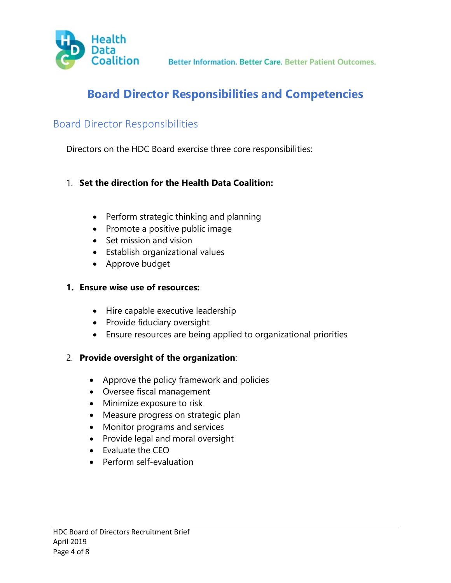

# **Board Director Responsibilities and Competencies**

## Board Director Responsibilities

Directors on the HDC Board exercise three core responsibilities:

#### 1. **Set the direction for the Health Data Coalition:**

- Perform strategic thinking and planning
- Promote a positive public image
- Set mission and vision
- Establish organizational values
- Approve budget

#### **1. Ensure wise use of resources:**

- Hire capable executive leadership
- Provide fiduciary oversight
- Ensure resources are being applied to organizational priorities

## 2. **Provide oversight of the organization**:

- Approve the policy framework and policies
- Oversee fiscal management
- Minimize exposure to risk
- Measure progress on strategic plan
- Monitor programs and services
- Provide legal and moral oversight
- Evaluate the CEO
- Perform self-evaluation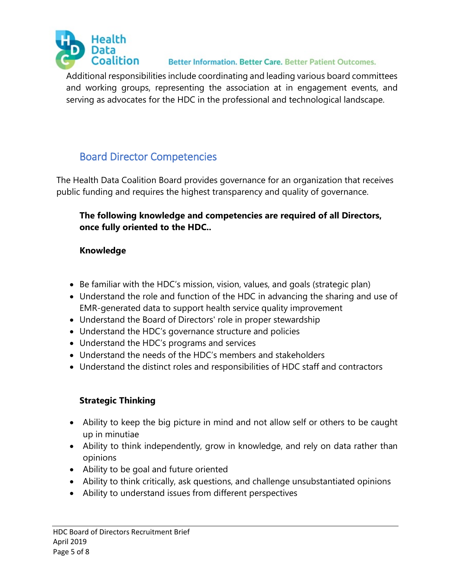

Additional responsibilities include coordinating and leading various board committees and working groups, representing the association at in engagement events, and serving as advocates for the HDC in the professional and technological landscape.

# Board Director Competencies

The Health Data Coalition Board provides governance for an organization that receives public funding and requires the highest transparency and quality of governance.

## **The following knowledge and competencies are required of all Directors, once fully oriented to the HDC..**

## **Knowledge**

- Be familiar with the HDC's mission, vision, values, and goals (strategic plan)
- Understand the role and function of the HDC in advancing the sharing and use of EMR-generated data to support health service quality improvement
- Understand the Board of Directors' role in proper stewardship
- Understand the HDC's governance structure and policies
- Understand the HDC's programs and services
- Understand the needs of the HDC's members and stakeholders
- Understand the distinct roles and responsibilities of HDC staff and contractors

## **Strategic Thinking**

- Ability to keep the big picture in mind and not allow self or others to be caught up in minutiae
- Ability to think independently, grow in knowledge, and rely on data rather than opinions
- Ability to be goal and future oriented
- Ability to think critically, ask questions, and challenge unsubstantiated opinions
- Ability to understand issues from different perspectives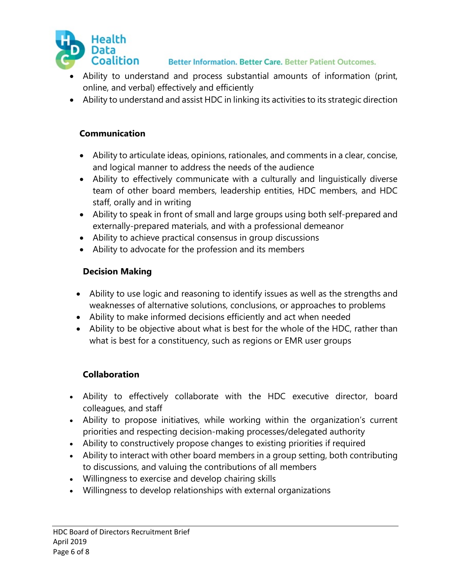

- Ability to understand and process substantial amounts of information (print, online, and verbal) effectively and efficiently
- Ability to understand and assist HDC in linking its activities to its strategic direction

#### **Communication**

- Ability to articulate ideas, opinions, rationales, and comments in a clear, concise, and logical manner to address the needs of the audience
- Ability to effectively communicate with a culturally and linguistically diverse team of other board members, leadership entities, HDC members, and HDC staff, orally and in writing
- Ability to speak in front of small and large groups using both self-prepared and externally-prepared materials, and with a professional demeanor
- Ability to achieve practical consensus in group discussions
- Ability to advocate for the profession and its members

#### **Decision Making**

- Ability to use logic and reasoning to identify issues as well as the strengths and weaknesses of alternative solutions, conclusions, or approaches to problems
- Ability to make informed decisions efficiently and act when needed
- Ability to be objective about what is best for the whole of the HDC, rather than what is best for a constituency, such as regions or EMR user groups

## **Collaboration**

- Ability to effectively collaborate with the HDC executive director, board colleagues, and staff
- Ability to propose initiatives, while working within the organization's current priorities and respecting decision-making processes/delegated authority
- Ability to constructively propose changes to existing priorities if required
- Ability to interact with other board members in a group setting, both contributing to discussions, and valuing the contributions of all members
- Willingness to exercise and develop chairing skills
- Willingness to develop relationships with external organizations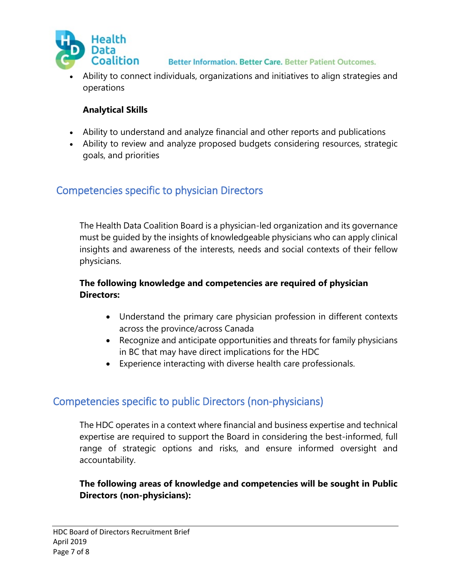

• Ability to connect individuals, organizations and initiatives to align strategies and operations

## **Analytical Skills**

- Ability to understand and analyze financial and other reports and publications
- Ability to review and analyze proposed budgets considering resources, strategic goals, and priorities

## Competencies specific to physician Directors

The Health Data Coalition Board is a physician-led organization and its governance must be guided by the insights of knowledgeable physicians who can apply clinical insights and awareness of the interests, needs and social contexts of their fellow physicians.

## **The following knowledge and competencies are required of physician Directors:**

- Understand the primary care physician profession in different contexts across the province/across Canada
- Recognize and anticipate opportunities and threats for family physicians in BC that may have direct implications for the HDC
- Experience interacting with diverse health care professionals.

## Competencies specific to public Directors (non-physicians)

The HDC operates in a context where financial and business expertise and technical expertise are required to support the Board in considering the best-informed, full range of strategic options and risks, and ensure informed oversight and accountability.

**The following areas of knowledge and competencies will be sought in Public Directors (non-physicians):**